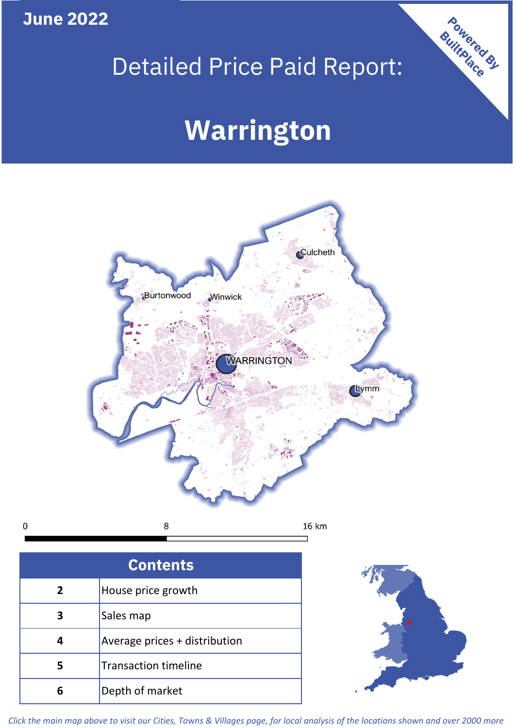# **June 2022**

# Detailed Price Paid Report:

# **Warrington**



| <b>Contents</b> |                               |  |  |
|-----------------|-------------------------------|--|--|
| $\overline{2}$  | House price growth            |  |  |
| 3               | Sales map                     |  |  |
|                 | Average prices + distribution |  |  |
| 5               | <b>Transaction timeline</b>   |  |  |
| 6               | Depth of market               |  |  |



Powered By

*Click the main map above to visit our Cities, Towns & Villages page, for local analysis of the locations shown and over 2000 more*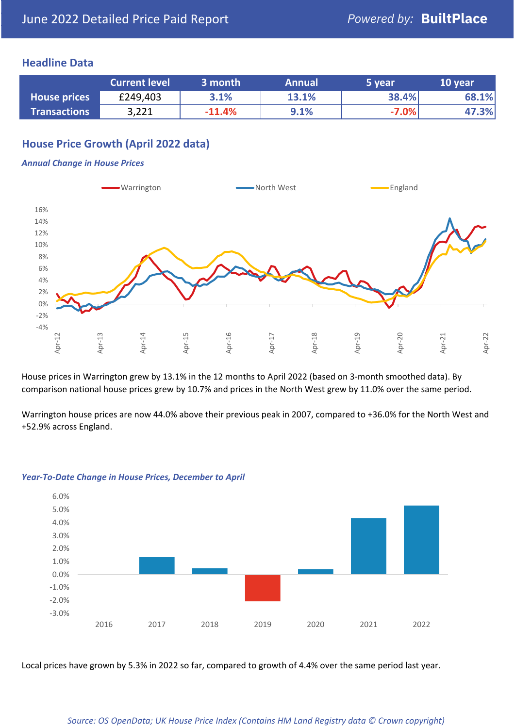### **Headline Data**

|                     | <b>Current level</b> | 3 month  | <b>Annual</b> | 5 year  | 10 year |
|---------------------|----------------------|----------|---------------|---------|---------|
| <b>House prices</b> | £249,403             | 3.1%     | 13.1%         | 38.4%   | 68.1%   |
| <b>Transactions</b> | 3,221                | $-11.4%$ | 9.1%          | $-7.0%$ | 47.3%   |

# **House Price Growth (April 2022 data)**

#### *Annual Change in House Prices*



House prices in Warrington grew by 13.1% in the 12 months to April 2022 (based on 3-month smoothed data). By comparison national house prices grew by 10.7% and prices in the North West grew by 11.0% over the same period.

Warrington house prices are now 44.0% above their previous peak in 2007, compared to +36.0% for the North West and +52.9% across England.



#### *Year-To-Date Change in House Prices, December to April*

Local prices have grown by 5.3% in 2022 so far, compared to growth of 4.4% over the same period last year.

#### *Source: OS OpenData; UK House Price Index (Contains HM Land Registry data © Crown copyright)*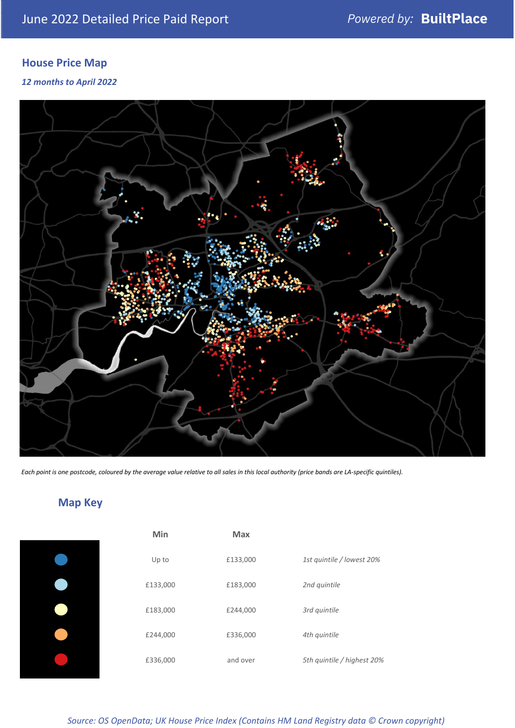# **House Price Map**

*12 months to April 2022*



*Each point is one postcode, coloured by the average value relative to all sales in this local authority (price bands are LA-specific quintiles).*

# **Map Key**

| Min      | <b>Max</b> |              |
|----------|------------|--------------|
| Up to    | £133,000   | 1st quintile |
| £133,000 | £183,000   | 2nd quintile |
| £183,000 | £244,000   | 3rd quintile |
| £244,000 | £336,000   | 4th quintile |
| £336,000 | and over   | 5th quintile |
|          |            |              |

| Min      | <b>Max</b> |                            |
|----------|------------|----------------------------|
| Up to    | £133,000   | 1st quintile / lowest 20%  |
| £133,000 | £183,000   | 2nd quintile               |
| £183,000 | £244,000   | 3rd quintile               |
| £244,000 | £336,000   | 4th quintile               |
| £336,000 | and over   | 5th quintile / highest 20% |

*Source: OS OpenData; UK House Price Index (Contains HM Land Registry data © Crown copyright)*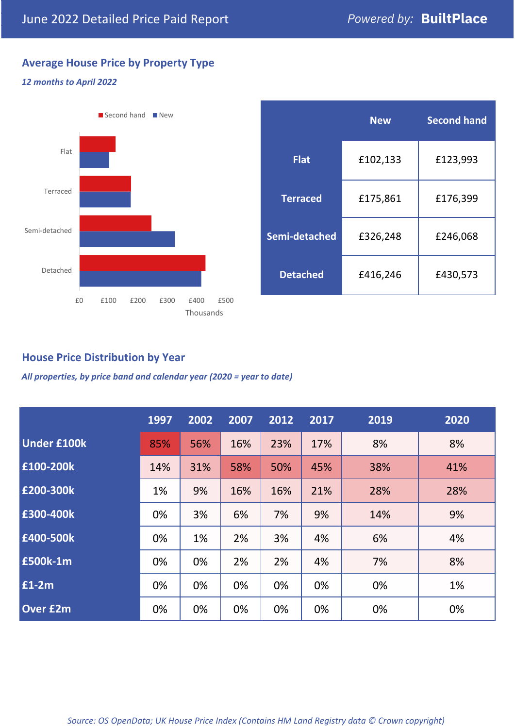# **Average House Price by Property Type**

#### *12 months to April 2022*



|                 | <b>New</b> | <b>Second hand</b> |  |
|-----------------|------------|--------------------|--|
| <b>Flat</b>     | £102,133   | £123,993           |  |
| <b>Terraced</b> | £175,861   | £176,399           |  |
| Semi-detached   | £326,248   | £246,068           |  |
| <b>Detached</b> | £416,246   | £430,573           |  |

## **House Price Distribution by Year**

*All properties, by price band and calendar year (2020 = year to date)*

|                    | 1997 | 2002 | 2007 | 2012 | 2017 | 2019 | 2020 |
|--------------------|------|------|------|------|------|------|------|
| <b>Under £100k</b> | 85%  | 56%  | 16%  | 23%  | 17%  | 8%   | 8%   |
| £100-200k          | 14%  | 31%  | 58%  | 50%  | 45%  | 38%  | 41%  |
| E200-300k          | 1%   | 9%   | 16%  | 16%  | 21%  | 28%  | 28%  |
| £300-400k          | 0%   | 3%   | 6%   | 7%   | 9%   | 14%  | 9%   |
| £400-500k          | 0%   | 1%   | 2%   | 3%   | 4%   | 6%   | 4%   |
| <b>£500k-1m</b>    | 0%   | 0%   | 2%   | 2%   | 4%   | 7%   | 8%   |
| £1-2m              | 0%   | 0%   | 0%   | 0%   | 0%   | 0%   | 1%   |
| <b>Over £2m</b>    | 0%   | 0%   | 0%   | 0%   | 0%   | 0%   | 0%   |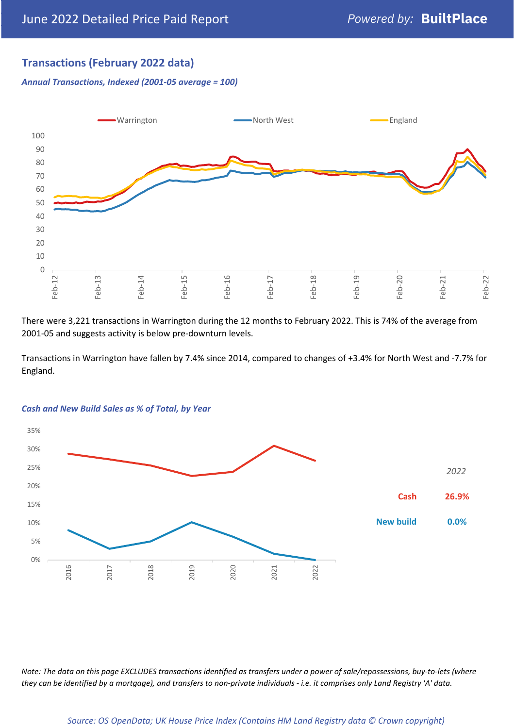# **Transactions (February 2022 data)**

*Annual Transactions, Indexed (2001-05 average = 100)*



There were 3,221 transactions in Warrington during the 12 months to February 2022. This is 74% of the average from 2001-05 and suggests activity is below pre-downturn levels.

Transactions in Warrington have fallen by 7.4% since 2014, compared to changes of +3.4% for North West and -7.7% for England.



#### *Cash and New Build Sales as % of Total, by Year*

*Note: The data on this page EXCLUDES transactions identified as transfers under a power of sale/repossessions, buy-to-lets (where they can be identified by a mortgage), and transfers to non-private individuals - i.e. it comprises only Land Registry 'A' data.*